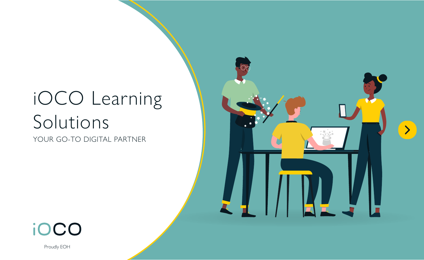# iOCO Learning Solutions

YOUR GO-TO DIGITAL PARTNER





Proudly EOH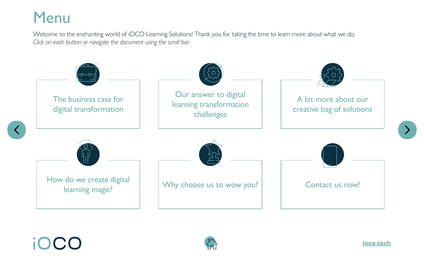### Menu

Welcome to the enchanting world of iOCO Learning Solutions! Thank you for taking the time to learn more about what we do. *Click on each button or navigate the document using the scroll bar.*



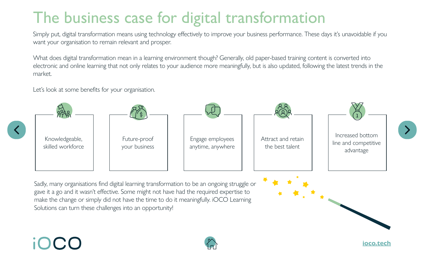### The business case for digital transformation

Simply put, digital transformation means using technology effectively to improve your business performance. These days it's unavoidable if you want your organisation to remain relevant and prosper.

What does digital transformation mean in a learning environment though? Generally, old paper-based training content is converted into electronic and online learning that not only relates to your audience more meaningfully, but is also updated, following the latest trends in the market.

Let's look at some benefits for your organisation.



Sadly, many organisations find digital learning transformation to be an ongoing struggle or gave it a go and it wasn't effective. Some might not have had the required expertise to make the change or simply did not have the time to do it meaningfully. iOCO Learning Solutions can turn these challenges into an opportunity!



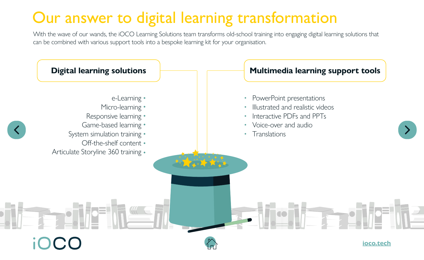### Our answer to digital learning transformation

With the wave of our wands, the iOCO Learning Solutions team transforms old-school training into engaging digital learning solutions that can be combined with various support tools into a bespoke learning kit for your organisation.

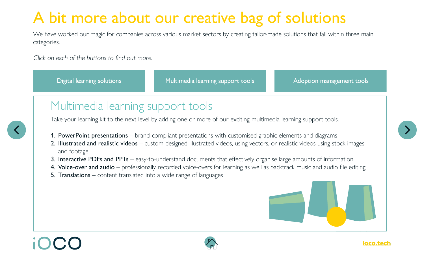## A bit more about our creative bag of solutions

We have worked our magic for companies across various market sectors by creating tailor-made solutions that fall within three main categories.

Click on each of the buttons to find out more.

Digital learning solutions **Multimedia learning support tools** Adoption management tools **Adoption management tools** 

#### Multimedia learning support tools

Take your learning kit to the next level by adding one or more of our exciting multimedia learning support tools.

- 1. PowerPoint presentations brand-compliant presentations with customised graphic elements and diagrams
- 2. Illustrated and realistic videos custom designed illustrated videos, using vectors, or realistic videos using stock images 2. Microsoft – easy-to-digest, short bursts of learning for learning for learning for users on the god of learning for  $\alpha$ Multimedia learning support tools<br>Take your learning kit to the next level by adding one or more of our e<br>1. PowerPoint presentations – brand-compliant presentations with cu<br>2. Illustrated and realistic videos – custom des and footage employee assets – media to create employee awareness and encourage awareness and encourage and encourage
- 3. Interactive PDFs and PPTs easy-to-understand documents that effectively organise large amounts of information
- 4. Voice-over and audio professionally recorded voice-overs for learning as well as backtrack music and audio file editing

 $7.3\,$  Articulate Storyline 360 training – interactive and simulated e-learning programme from basic to intermediate level  $\sim$ 

What's more, iOCO Learning Solutions can assist with a Learning Management System (LMS) that hosts your online

**5. Translations** – content translated into a wide range of languages





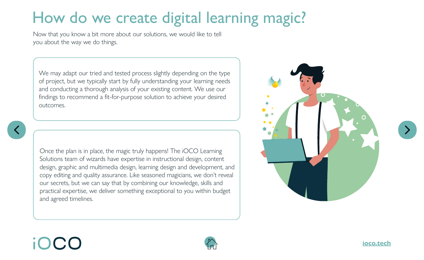## How do we create digital learning magic?

Now that you know a bit more about our solutions, we would like to tell you about the way we do things.

We may adapt our tried and tested process slightly depending on the type of project, but we typically start by fully understanding your learning needs and conducting a thorough analysis of your existing content. We use our findings to recommend a fit-for-purpose solution to achieve your desired outcomes.

Once the plan is in place, the magic truly happens! The iOCO Learning Solutions team of wizards have expertise in instructional design, content design, graphic and multimedia design, learning design and development, and copy editing and quality assurance. Like seasoned magicians, we don't reveal our secrets, but we can say that by combining our knowledge, skills and practical expertise, we deliver something exceptional to you within budget and agreed timelines.



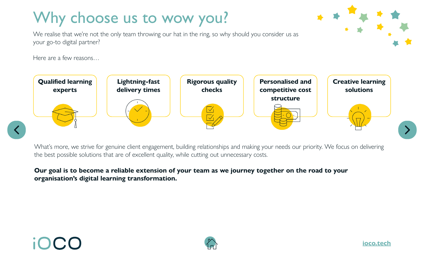#### **[ioco.tech](https://ioco.tech/)**

### Why choose us to wow you?

We realise that we're not the only team throwing our hat in the ring, so why should you consider us as your go-to digital partner?

Here are a few reasons…



What's more, we strive for genuine client engagement, building relationships and making your needs our priority. We focus on delivering the best possible solutions that are of excellent quality, while cutting out unnecessary costs.

#### **Our goal is to become a reliable extension of your team as we journey together on the road to your organisation's digital learning transformation.**